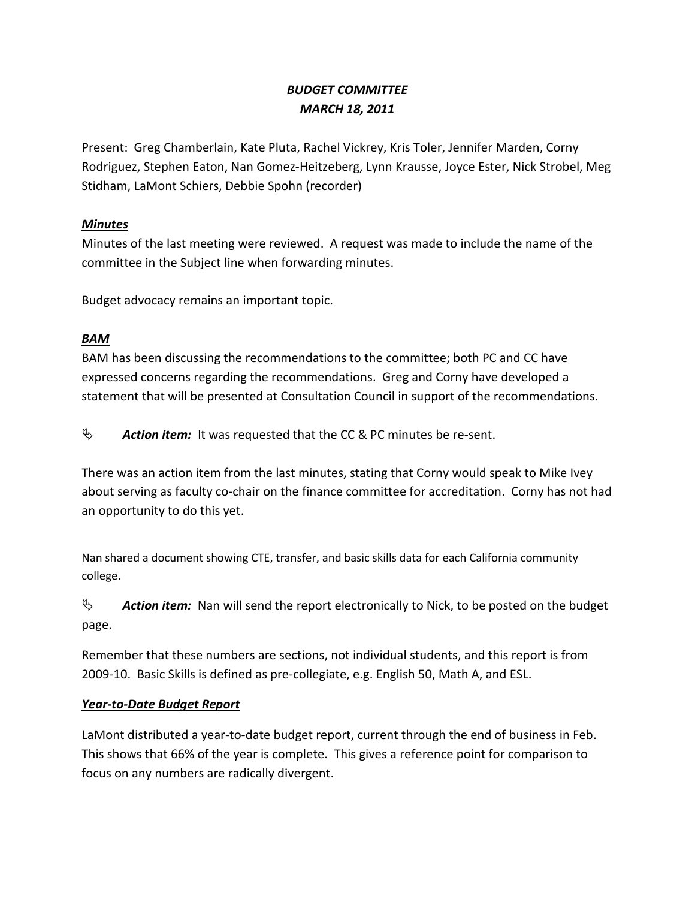# *BUDGET COMMITTEE MARCH 18, 2011*

Present: Greg Chamberlain, Kate Pluta, Rachel Vickrey, Kris Toler, Jennifer Marden, Corny Rodriguez, Stephen Eaton, Nan Gomez-Heitzeberg, Lynn Krausse, Joyce Ester, Nick Strobel, Meg Stidham, LaMont Schiers, Debbie Spohn (recorder)

### *Minutes*

Minutes of the last meeting were reviewed. A request was made to include the name of the committee in the Subject line when forwarding minutes.

Budget advocacy remains an important topic.

## *BAM*

BAM has been discussing the recommendations to the committee; both PC and CC have expressed concerns regarding the recommendations. Greg and Corny have developed a statement that will be presented at Consultation Council in support of the recommendations.

 $\&$  **Action item:** It was requested that the CC & PC minutes be re-sent.

There was an action item from the last minutes, stating that Corny would speak to Mike Ivey about serving as faculty co-chair on the finance committee for accreditation. Corny has not had an opportunity to do this yet.

Nan shared a document showing CTE, transfer, and basic skills data for each California community college.

<sup> $\uppsi$ </sup> **Action item:** Nan will send the report electronically to Nick, to be posted on the budget page.

Remember that these numbers are sections, not individual students, and this report is from 2009-10. Basic Skills is defined as pre-collegiate, e.g. English 50, Math A, and ESL.

## *Year-to-Date Budget Report*

LaMont distributed a year-to-date budget report, current through the end of business in Feb. This shows that 66% of the year is complete. This gives a reference point for comparison to focus on any numbers are radically divergent.